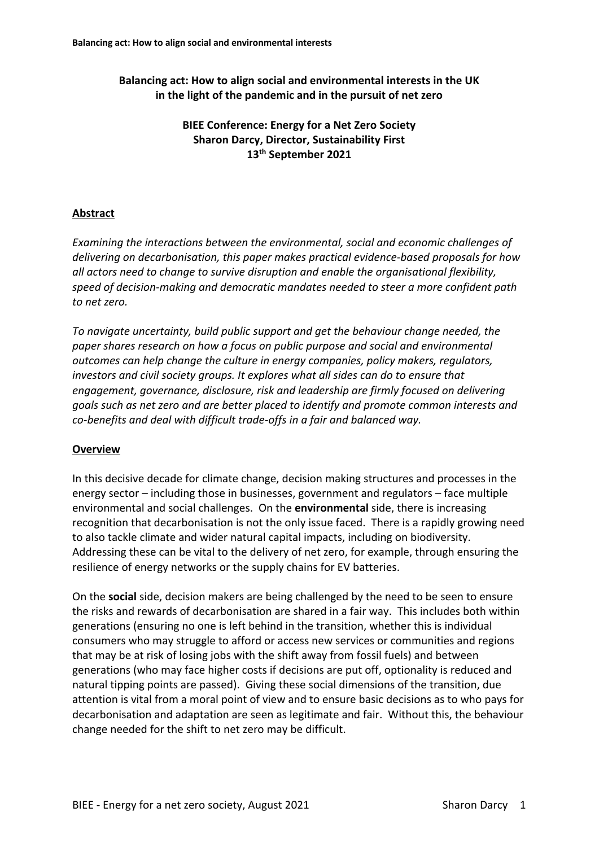### **Balancing act: How to align social and environmental interests in the UK in the light of the pandemic and in the pursuit of net zero**

### **BIEE Conference: Energy for a Net Zero Society Sharon Darcy, Director, Sustainability First 13th September 2021**

## **Abstract**

*Examining the interactions between the environmental, social and economic challenges of delivering on decarbonisation, this paper makes practical evidence-based proposals for how all actors need to change to survive disruption and enable the organisational flexibility, speed of decision-making and democratic mandates needed to steer a more confident path to net zero.* 

*To navigate uncertainty, build public support and get the behaviour change needed, the paper shares research on how a focus on public purpose and social and environmental outcomes can help change the culture in energy companies, policy makers, regulators, investors and civil society groups. It explores what all sides can do to ensure that engagement, governance, disclosure, risk and leadership are firmly focused on delivering goals such as net zero and are better placed to identify and promote common interests and co-benefits and deal with difficult trade-offs in a fair and balanced way.*

### **Overview**

In this decisive decade for climate change, decision making structures and processes in the energy sector – including those in businesses, government and regulators – face multiple environmental and social challenges. On the **environmental** side, there is increasing recognition that decarbonisation is not the only issue faced. There is a rapidly growing need to also tackle climate and wider natural capital impacts, including on biodiversity. Addressing these can be vital to the delivery of net zero, for example, through ensuring the resilience of energy networks or the supply chains for EV batteries.

On the **social** side, decision makers are being challenged by the need to be seen to ensure the risks and rewards of decarbonisation are shared in a fair way. This includes both within generations (ensuring no one is left behind in the transition, whether this is individual consumers who may struggle to afford or access new services or communities and regions that may be at risk of losing jobs with the shift away from fossil fuels) and between generations (who may face higher costs if decisions are put off, optionality is reduced and natural tipping points are passed). Giving these social dimensions of the transition, due attention is vital from a moral point of view and to ensure basic decisions as to who pays for decarbonisation and adaptation are seen as legitimate and fair. Without this, the behaviour change needed for the shift to net zero may be difficult.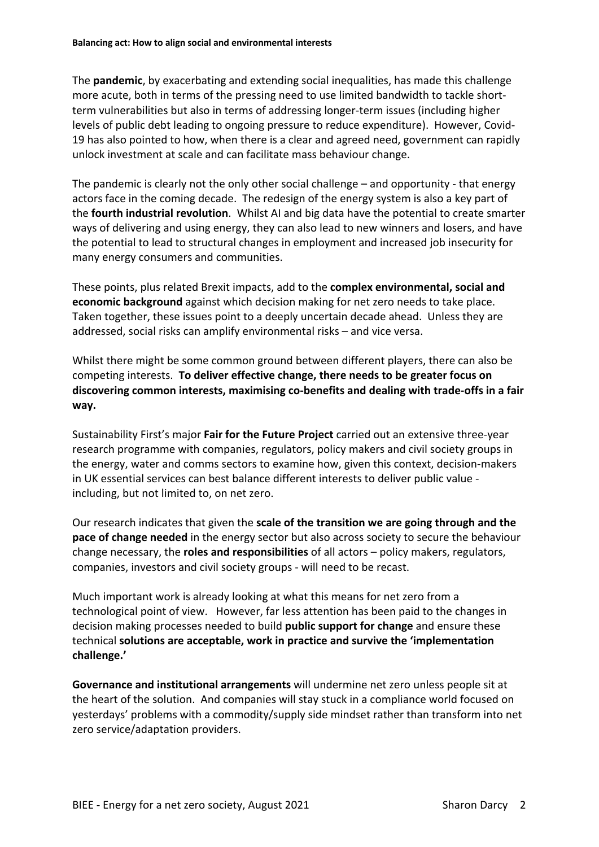The **pandemic**, by exacerbating and extending social inequalities, has made this challenge more acute, both in terms of the pressing need to use limited bandwidth to tackle shortterm vulnerabilities but also in terms of addressing longer-term issues (including higher levels of public debt leading to ongoing pressure to reduce expenditure). However, Covid-19 has also pointed to how, when there is a clear and agreed need, government can rapidly unlock investment at scale and can facilitate mass behaviour change.

The pandemic is clearly not the only other social challenge – and opportunity - that energy actors face in the coming decade. The redesign of the energy system is also a key part of the **fourth industrial revolution**. Whilst AI and big data have the potential to create smarter ways of delivering and using energy, they can also lead to new winners and losers, and have the potential to lead to structural changes in employment and increased job insecurity for many energy consumers and communities.

These points, plus related Brexit impacts, add to the **complex environmental, social and economic background** against which decision making for net zero needs to take place. Taken together, these issues point to a deeply uncertain decade ahead. Unless they are addressed, social risks can amplify environmental risks – and vice versa.

Whilst there might be some common ground between different players, there can also be competing interests. **To deliver effective change, there needs to be greater focus on discovering common interests, maximising co-benefits and dealing with trade-offs in a fair way.**

Sustainability First's major **Fair for the Future Project** carried out an extensive three-year research programme with companies, regulators, policy makers and civil society groups in the energy, water and comms sectors to examine how, given this context, decision-makers in UK essential services can best balance different interests to deliver public value including, but not limited to, on net zero.

Our research indicates that given the **scale of the transition we are going through and the pace of change needed** in the energy sector but also across society to secure the behaviour change necessary, the **roles and responsibilities** of all actors – policy makers, regulators, companies, investors and civil society groups - will need to be recast.

Much important work is already looking at what this means for net zero from a technological point of view. However, far less attention has been paid to the changes in decision making processes needed to build **public support for change** and ensure these technical **solutions are acceptable, work in practice and survive the 'implementation challenge.'**

**Governance and institutional arrangements** will undermine net zero unless people sit at the heart of the solution. And companies will stay stuck in a compliance world focused on yesterdays' problems with a commodity/supply side mindset rather than transform into net zero service/adaptation providers.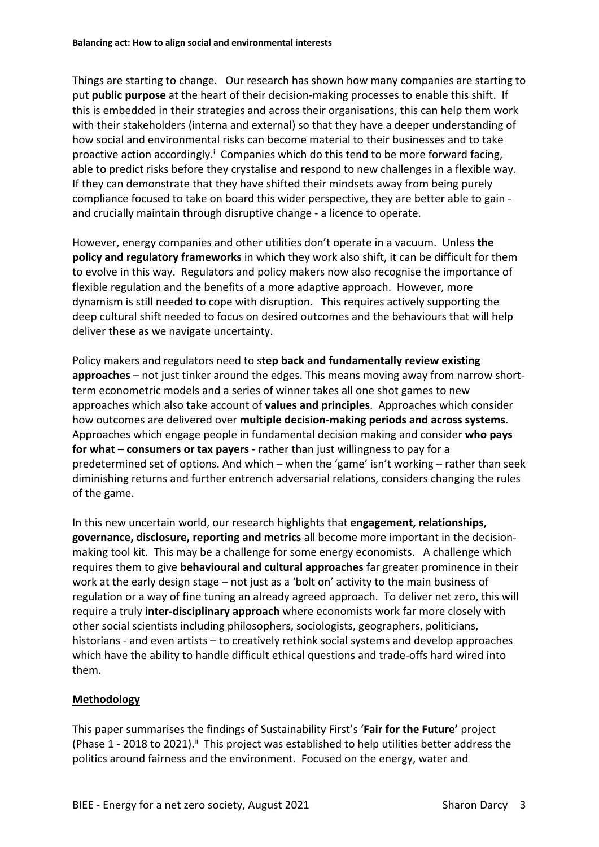Things are starting to change. Our research has shown how many companies are starting to put **public purpose** at the heart of their decision-making processes to enable this shift. If this is embedded in their strategies and across their organisations, this can help them work with their stakeholders (interna and external) so that they have a deeper understanding of how social and environmental risks can become material to their businesses and to take proactive action accordingly.<sup>1</sup> Companies which do this tend to be more forward facing, able to predict risks before they crystalise and respond to new challenges in a flexible way. If they can demonstrate that they have shifted their mindsets away from being purely compliance focused to take on board this wider perspective, they are better able to gain and crucially maintain through disruptive change - a licence to operate.

However, energy companies and other utilities don't operate in a vacuum. Unless **the policy and regulatory frameworks** in which they work also shift, it can be difficult for them to evolve in this way. Regulators and policy makers now also recognise the importance of flexible regulation and the benefits of a more adaptive approach. However, more dynamism is still needed to cope with disruption. This requires actively supporting the deep cultural shift needed to focus on desired outcomes and the behaviours that will help deliver these as we navigate uncertainty.

Policy makers and regulators need to s**tep back and fundamentally review existing approaches** – not just tinker around the edges. This means moving away from narrow shortterm econometric models and a series of winner takes all one shot games to new approaches which also take account of **values and principles**. Approaches which consider how outcomes are delivered over **multiple decision-making periods and across systems**. Approaches which engage people in fundamental decision making and consider **who pays for what – consumers or tax payers** - rather than just willingness to pay for a predetermined set of options. And which – when the 'game' isn't working – rather than seek diminishing returns and further entrench adversarial relations, considers changing the rules of the game.

In this new uncertain world, our research highlights that **engagement, relationships, governance, disclosure, reporting and metrics** all become more important in the decisionmaking tool kit. This may be a challenge for some energy economists. A challenge which requires them to give **behavioural and cultural approaches** far greater prominence in their work at the early design stage – not just as a 'bolt on' activity to the main business of regulation or a way of fine tuning an already agreed approach. To deliver net zero, this will require a truly **inter-disciplinary approach** where economists work far more closely with other social scientists including philosophers, sociologists, geographers, politicians, historians - and even artists – to creatively rethink social systems and develop approaches which have the ability to handle difficult ethical questions and trade-offs hard wired into them.

# **Methodology**

This paper summarises the findings of Sustainability First's '**Fair for the Future'** project (Phase 1 - 2018 to 2021).<sup>ii</sup> This project was established to help utilities better address the politics around fairness and the environment. Focused on the energy, water and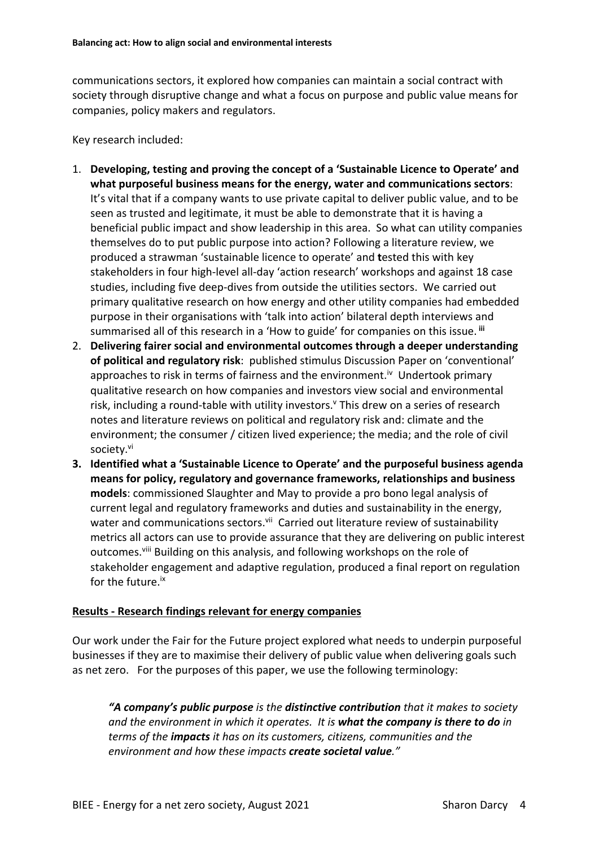communications sectors, it explored how companies can maintain a social contract with society through disruptive change and what a focus on purpose and public value means for companies, policy makers and regulators.

Key research included:

- 1. **Developing, testing and proving the concept of a 'Sustainable Licence to Operate' and what purposeful business means for the energy, water and communications sectors**: It's vital that if a company wants to use private capital to deliver public value, and to be seen as trusted and legitimate, it must be able to demonstrate that it is having a beneficial public impact and show leadership in this area. So what can utility companies themselves do to put public purpose into action? Following a literature review, we produced a strawman 'sustainable licence to operate' and **t**ested this with key stakeholders in four high-level all-day 'action research' workshops and against 18 case studies, including five deep-dives from outside the utilities sectors. We carried out primary qualitative research on how energy and other utility companies had embedded purpose in their organisations with 'talk into action' bilateral depth interviews and summarised all of this research in a 'How to guide' for companies on this issue. **iii**
- 2. **Delivering fairer social and environmental outcomes through a deeper understanding of political and regulatory risk**: published stimulus Discussion Paper on 'conventional' approaches to risk in terms of fairness and the environment.<sup>iv</sup> Undertook primary qualitative research on how companies and investors view social and environmental risk, including a round-table with utility investors.<sup>v</sup> This drew on a series of research notes and literature reviews on political and regulatory risk and: climate and the environment; the consumer / citizen lived experience; the media; and the role of civil society.<sup>vi</sup>
- **3. Identified what a 'Sustainable Licence to Operate' and the purposeful business agenda means for policy, regulatory and governance frameworks, relationships and business models**: commissioned Slaughter and May to provide a pro bono legal analysis of current legal and regulatory frameworks and duties and sustainability in the energy, water and communications sectors.<sup>vii</sup> Carried out literature review of sustainability metrics all actors can use to provide assurance that they are delivering on public interest outcomes.<sup>viii</sup> Building on this analysis, and following workshops on the role of stakeholder engagement and adaptive regulation, produced a final report on regulation for the future ix

#### **Results - Research findings relevant for energy companies**

Our work under the Fair for the Future project explored what needs to underpin purposeful businesses if they are to maximise their delivery of public value when delivering goals such as net zero. For the purposes of this paper, we use the following terminology:

*"A company's public purpose is the distinctive contribution that it makes to society and the environment in which it operates. It is what the company is there to do in terms of the impacts it has on its customers, citizens, communities and the environment and how these impacts create societal value."*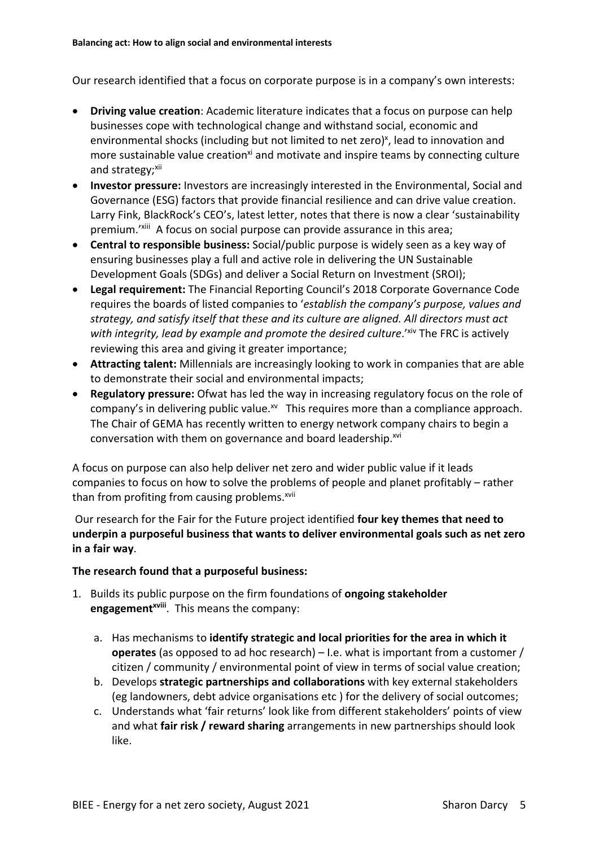Our research identified that a focus on corporate purpose is in a company's own interests:

- **Driving value creation**: Academic literature indicates that a focus on purpose can help businesses cope with technological change and withstand social, economic and environmental shocks (including but not limited to net zero)<sup>x</sup>, lead to innovation and more sustainable value creation<sup>xi</sup> and motivate and inspire teams by connecting culture and strategy;<sup>xii</sup>
- **Investor pressure:** Investors are increasingly interested in the Environmental, Social and Governance (ESG) factors that provide financial resilience and can drive value creation. Larry Fink, BlackRock's CEO's, latest letter, notes that there is now a clear 'sustainability premium.'<sup>xiii</sup> A focus on social purpose can provide assurance in this area;
- **Central to responsible business:** Social/public purpose is widely seen as a key way of ensuring businesses play a full and active role in delivering the UN Sustainable Development Goals (SDGs) and deliver a Social Return on Investment (SROI);
- **Legal requirement:** The Financial Reporting Council's 2018 Corporate Governance Code requires the boards of listed companies to '*establish the company's purpose, values and strategy, and satisfy itself that these and its culture are aligned. All directors must act*  with integrity, lead by example and promote the desired culture.<sup>'xiv</sup> The FRC is actively reviewing this area and giving it greater importance;
- **Attracting talent:** Millennials are increasingly looking to work in companies that are able to demonstrate their social and environmental impacts;
- **Regulatory pressure:** Ofwat has led the way in increasing regulatory focus on the role of company's in delivering public value. $x^2$  This requires more than a compliance approach. The Chair of GEMA has recently written to energy network company chairs to begin a conversation with them on governance and board leadership.<sup>xvi</sup>

A focus on purpose can also help deliver net zero and wider public value if it leads companies to focus on how to solve the problems of people and planet profitably – rather than from profiting from causing problems.<sup>xvii</sup>

Our research for the Fair for the Future project identified **four key themes that need to underpin a purposeful business that wants to deliver environmental goals such as net zero in a fair way**.

### **The research found that a purposeful business:**

- 1. Builds its public purpose on the firm foundations of **ongoing stakeholder**  engagement<sup>xviii</sup>. This means the company:
	- a. Has mechanisms to **identify strategic and local priorities for the area in which it operates** (as opposed to ad hoc research) – I.e. what is important from a customer / citizen / community / environmental point of view in terms of social value creation;
	- b. Develops **strategic partnerships and collaborations** with key external stakeholders (eg landowners, debt advice organisations etc ) for the delivery of social outcomes;
	- c. Understands what 'fair returns' look like from different stakeholders' points of view and what **fair risk / reward sharing** arrangements in new partnerships should look like.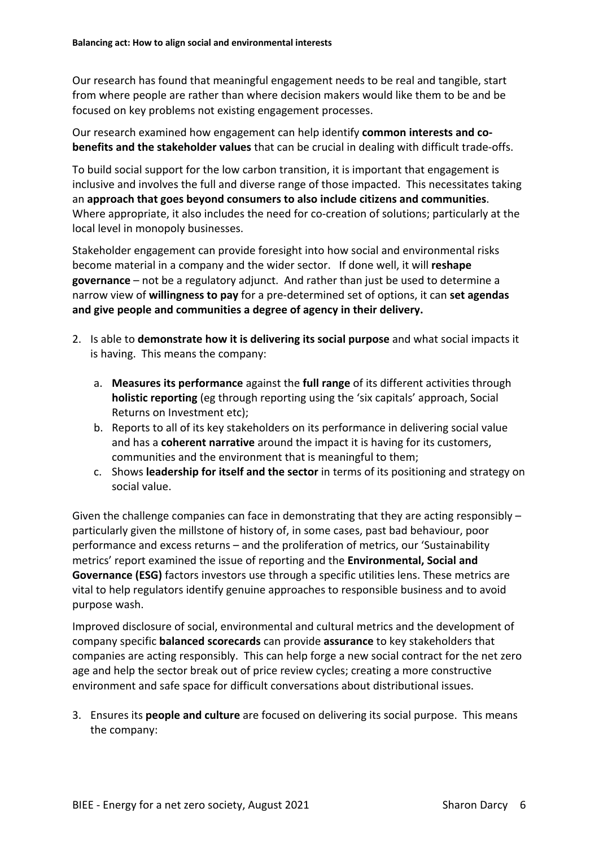Our research has found that meaningful engagement needs to be real and tangible, start from where people are rather than where decision makers would like them to be and be focused on key problems not existing engagement processes.

Our research examined how engagement can help identify **common interests and cobenefits and the stakeholder values** that can be crucial in dealing with difficult trade-offs.

To build social support for the low carbon transition, it is important that engagement is inclusive and involves the full and diverse range of those impacted. This necessitates taking an **approach that goes beyond consumers to also include citizens and communities**. Where appropriate, it also includes the need for co-creation of solutions; particularly at the local level in monopoly businesses.

Stakeholder engagement can provide foresight into how social and environmental risks become material in a company and the wider sector. If done well, it will **reshape governance** – not be a regulatory adjunct. And rather than just be used to determine a narrow view of **willingness to pay** for a pre-determined set of options, it can **set agendas and give people and communities a degree of agency in their delivery.**

- 2. Is able to **demonstrate how it is delivering its social purpose** and what social impacts it is having. This means the company:
	- a. **Measures its performance** against the **full range** of its different activities through **holistic reporting** (eg through reporting using the 'six capitals' approach, Social Returns on Investment etc);
	- b. Reports to all of its key stakeholders on its performance in delivering social value and has a **coherent narrative** around the impact it is having for its customers, communities and the environment that is meaningful to them;
	- c. Shows **leadership for itself and the sector** in terms of its positioning and strategy on social value.

Given the challenge companies can face in demonstrating that they are acting responsibly  $$ particularly given the millstone of history of, in some cases, past bad behaviour, poor performance and excess returns – and the proliferation of metrics, our 'Sustainability metrics' report examined the issue of reporting and the **Environmental, Social and Governance (ESG)** factors investors use through a specific utilities lens. These metrics are vital to help regulators identify genuine approaches to responsible business and to avoid purpose wash.

Improved disclosure of social, environmental and cultural metrics and the development of company specific **balanced scorecards** can provide **assurance** to key stakeholders that companies are acting responsibly. This can help forge a new social contract for the net zero age and help the sector break out of price review cycles; creating a more constructive environment and safe space for difficult conversations about distributional issues.

3. Ensures its **people and culture** are focused on delivering its social purpose. This means the company: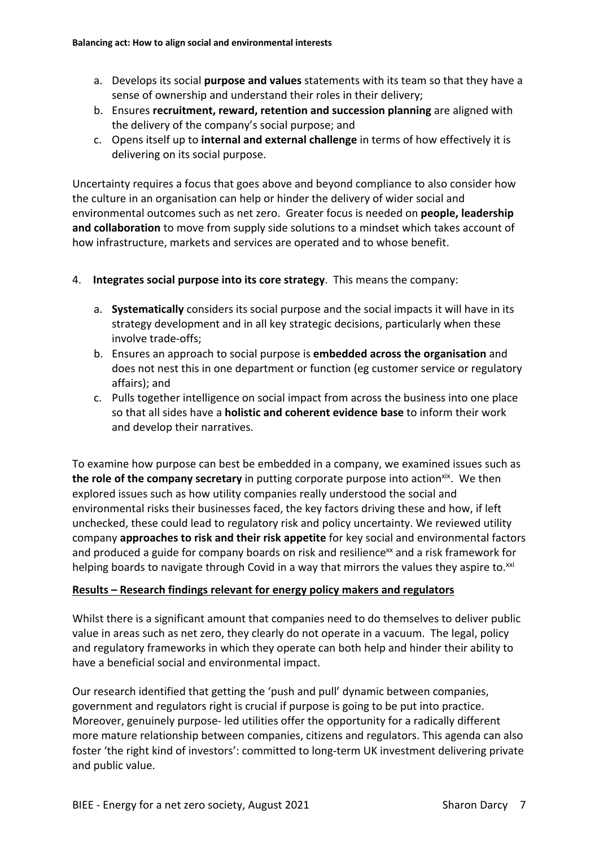- a. Develops its social **purpose and values** statements with its team so that they have a sense of ownership and understand their roles in their delivery;
- b. Ensures **recruitment, reward, retention and succession planning** are aligned with the delivery of the company's social purpose; and
- c. Opens itself up to **internal and external challenge** in terms of how effectively it is delivering on its social purpose.

Uncertainty requires a focus that goes above and beyond compliance to also consider how the culture in an organisation can help or hinder the delivery of wider social and environmental outcomes such as net zero. Greater focus is needed on **people, leadership and collaboration** to move from supply side solutions to a mindset which takes account of how infrastructure, markets and services are operated and to whose benefit.

- 4. **Integrates social purpose into its core strategy**. This means the company:
	- a. **Systematically** considers its social purpose and the social impacts it will have in its strategy development and in all key strategic decisions, particularly when these involve trade-offs;
	- b. Ensures an approach to social purpose is **embedded across the organisation** and does not nest this in one department or function (eg customer service or regulatory affairs); and
	- c. Pulls together intelligence on social impact from across the business into one place so that all sides have a **holistic and coherent evidence base** to inform their work and develop their narratives.

To examine how purpose can best be embedded in a company, we examined issues such as **the role of the company secretary** in putting corporate purpose into action<sup>xix</sup>. We then explored issues such as how utility companies really understood the social and environmental risks their businesses faced, the key factors driving these and how, if left unchecked, these could lead to regulatory risk and policy uncertainty. We reviewed utility company **approaches to risk and their risk appetite** for key social and environmental factors and produced a guide for company boards on risk and resilience<sup>xx</sup> and a risk framework for helping boards to navigate through Covid in a way that mirrors the values they aspire to.<sup>xxi</sup>

### **Results – Research findings relevant for energy policy makers and regulators**

Whilst there is a significant amount that companies need to do themselves to deliver public value in areas such as net zero, they clearly do not operate in a vacuum. The legal, policy and regulatory frameworks in which they operate can both help and hinder their ability to have a beneficial social and environmental impact.

Our research identified that getting the 'push and pull' dynamic between companies, government and regulators right is crucial if purpose is going to be put into practice. Moreover, genuinely purpose- led utilities offer the opportunity for a radically different more mature relationship between companies, citizens and regulators. This agenda can also foster 'the right kind of investors': committed to long-term UK investment delivering private and public value.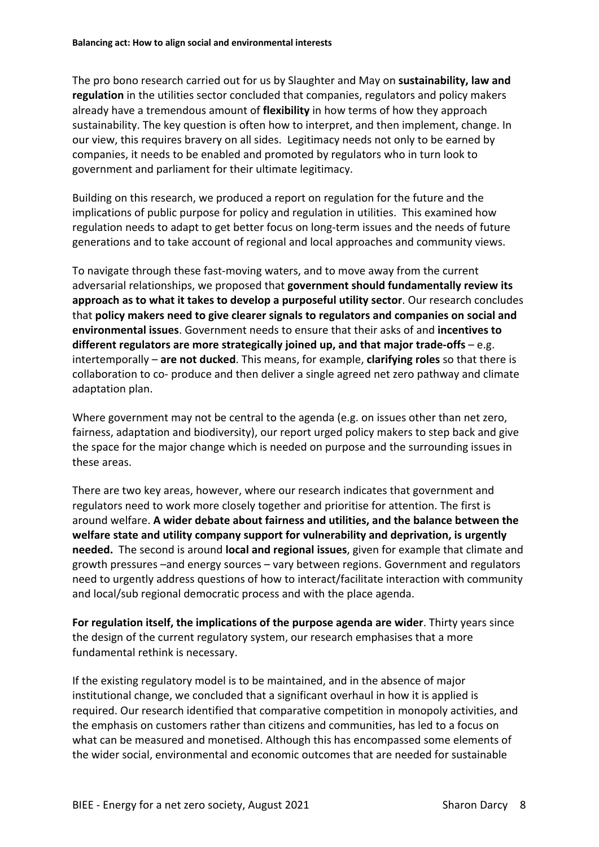The pro bono research carried out for us by Slaughter and May on **sustainability, law and regulation** in the utilities sector concluded that companies, regulators and policy makers already have a tremendous amount of **flexibility** in how terms of how they approach sustainability. The key question is often how to interpret, and then implement, change. In our view, this requires bravery on all sides. Legitimacy needs not only to be earned by companies, it needs to be enabled and promoted by regulators who in turn look to government and parliament for their ultimate legitimacy.

Building on this research, we produced a report on regulation for the future and the implications of public purpose for policy and regulation in utilities. This examined how regulation needs to adapt to get better focus on long-term issues and the needs of future generations and to take account of regional and local approaches and community views.

To navigate through these fast-moving waters, and to move away from the current adversarial relationships, we proposed that **government should fundamentally review its approach as to what it takes to develop a purposeful utility sector**. Our research concludes that **policy makers need to give clearer signals to regulators and companies on social and environmental issues**. Government needs to ensure that their asks of and **incentives to different regulators are more strategically joined up, and that major trade-offs** – e.g. intertemporally – **are not ducked**. This means, for example, **clarifying roles** so that there is collaboration to co- produce and then deliver a single agreed net zero pathway and climate adaptation plan.

Where government may not be central to the agenda (e.g. on issues other than net zero, fairness, adaptation and biodiversity), our report urged policy makers to step back and give the space for the major change which is needed on purpose and the surrounding issues in these areas.

There are two key areas, however, where our research indicates that government and regulators need to work more closely together and prioritise for attention. The first is around welfare. **A wider debate about fairness and utilities, and the balance between the welfare state and utility company support for vulnerability and deprivation, is urgently needed.** The second is around **local and regional issues**, given for example that climate and growth pressures –and energy sources – vary between regions. Government and regulators need to urgently address questions of how to interact/facilitate interaction with community and local/sub regional democratic process and with the place agenda.

**For regulation itself, the implications of the purpose agenda are wider**. Thirty years since the design of the current regulatory system, our research emphasises that a more fundamental rethink is necessary.

If the existing regulatory model is to be maintained, and in the absence of major institutional change, we concluded that a significant overhaul in how it is applied is required. Our research identified that comparative competition in monopoly activities, and the emphasis on customers rather than citizens and communities, has led to a focus on what can be measured and monetised. Although this has encompassed some elements of the wider social, environmental and economic outcomes that are needed for sustainable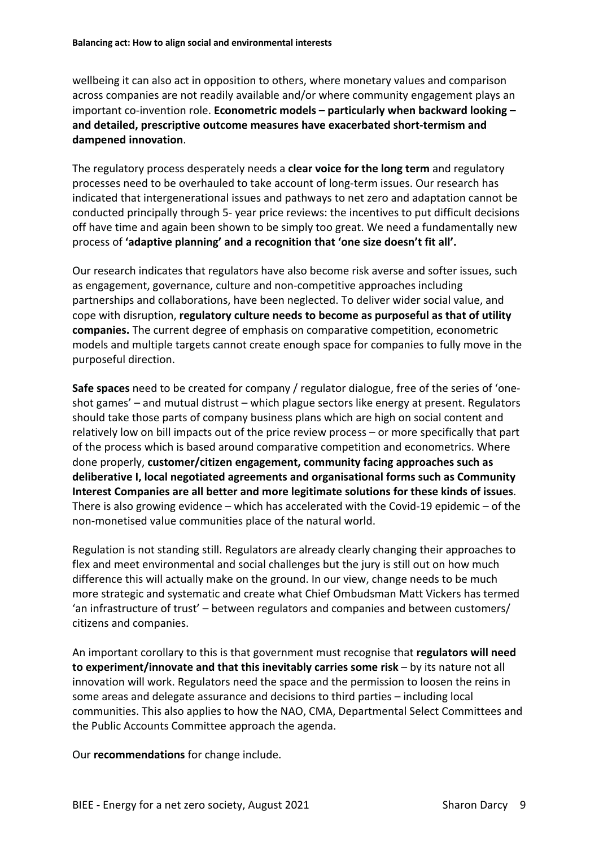wellbeing it can also act in opposition to others, where monetary values and comparison across companies are not readily available and/or where community engagement plays an important co-invention role. **Econometric models – particularly when backward looking – and detailed, prescriptive outcome measures have exacerbated short-termism and dampened innovation**.

The regulatory process desperately needs a **clear voice for the long term** and regulatory processes need to be overhauled to take account of long-term issues. Our research has indicated that intergenerational issues and pathways to net zero and adaptation cannot be conducted principally through 5- year price reviews: the incentives to put difficult decisions off have time and again been shown to be simply too great. We need a fundamentally new process of **'adaptive planning' and a recognition that 'one size doesn't fit all'.** 

Our research indicates that regulators have also become risk averse and softer issues, such as engagement, governance, culture and non-competitive approaches including partnerships and collaborations, have been neglected. To deliver wider social value, and cope with disruption, **regulatory culture needs to become as purposeful as that of utility companies.** The current degree of emphasis on comparative competition, econometric models and multiple targets cannot create enough space for companies to fully move in the purposeful direction.

**Safe spaces** need to be created for company / regulator dialogue, free of the series of 'oneshot games' – and mutual distrust – which plague sectors like energy at present. Regulators should take those parts of company business plans which are high on social content and relatively low on bill impacts out of the price review process – or more specifically that part of the process which is based around comparative competition and econometrics. Where done properly, **customer/citizen engagement, community facing approaches such as deliberative I, local negotiated agreements and organisational forms such as Community Interest Companies are all better and more legitimate solutions for these kinds of issues**. There is also growing evidence – which has accelerated with the Covid-19 epidemic – of the non-monetised value communities place of the natural world.

Regulation is not standing still. Regulators are already clearly changing their approaches to flex and meet environmental and social challenges but the jury is still out on how much difference this will actually make on the ground. In our view, change needs to be much more strategic and systematic and create what Chief Ombudsman Matt Vickers has termed 'an infrastructure of trust' – between regulators and companies and between customers/ citizens and companies.

An important corollary to this is that government must recognise that **regulators will need to experiment/innovate and that this inevitably carries some risk** – by its nature not all innovation will work. Regulators need the space and the permission to loosen the reins in some areas and delegate assurance and decisions to third parties – including local communities. This also applies to how the NAO, CMA, Departmental Select Committees and the Public Accounts Committee approach the agenda.

Our **recommendations** for change include.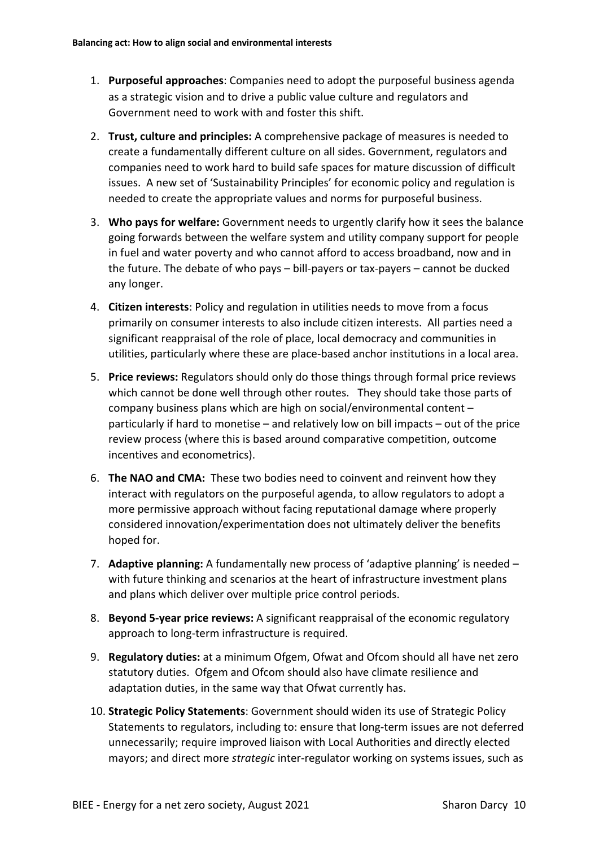- 1. **Purposeful approaches**: Companies need to adopt the purposeful business agenda as a strategic vision and to drive a public value culture and regulators and Government need to work with and foster this shift.
- 2. **Trust, culture and principles:** A comprehensive package of measures is needed to create a fundamentally different culture on all sides. Government, regulators and companies need to work hard to build safe spaces for mature discussion of difficult issues. A new set of 'Sustainability Principles' for economic policy and regulation is needed to create the appropriate values and norms for purposeful business.
- 3. **Who pays for welfare:** Government needs to urgently clarify how it sees the balance going forwards between the welfare system and utility company support for people in fuel and water poverty and who cannot afford to access broadband, now and in the future. The debate of who pays – bill-payers or tax-payers – cannot be ducked any longer.
- 4. **Citizen interests**: Policy and regulation in utilities needs to move from a focus primarily on consumer interests to also include citizen interests. All parties need a significant reappraisal of the role of place, local democracy and communities in utilities, particularly where these are place-based anchor institutions in a local area.
- 5. **Price reviews:** Regulators should only do those things through formal price reviews which cannot be done well through other routes. They should take those parts of company business plans which are high on social/environmental content – particularly if hard to monetise – and relatively low on bill impacts – out of the price review process (where this is based around comparative competition, outcome incentives and econometrics).
- 6. **The NAO and CMA:** These two bodies need to coinvent and reinvent how they interact with regulators on the purposeful agenda, to allow regulators to adopt a more permissive approach without facing reputational damage where properly considered innovation/experimentation does not ultimately deliver the benefits hoped for.
- 7. **Adaptive planning:** A fundamentally new process of 'adaptive planning' is needed with future thinking and scenarios at the heart of infrastructure investment plans and plans which deliver over multiple price control periods.
- 8. **Beyond 5-year price reviews:** A significant reappraisal of the economic regulatory approach to long-term infrastructure is required.
- 9. **Regulatory duties:** at a minimum Ofgem, Ofwat and Ofcom should all have net zero statutory duties. Ofgem and Ofcom should also have climate resilience and adaptation duties, in the same way that Ofwat currently has.
- 10. **Strategic Policy Statements**: Government should widen its use of Strategic Policy Statements to regulators, including to: ensure that long-term issues are not deferred unnecessarily; require improved liaison with Local Authorities and directly elected mayors; and direct more *strategic* inter-regulator working on systems issues, such as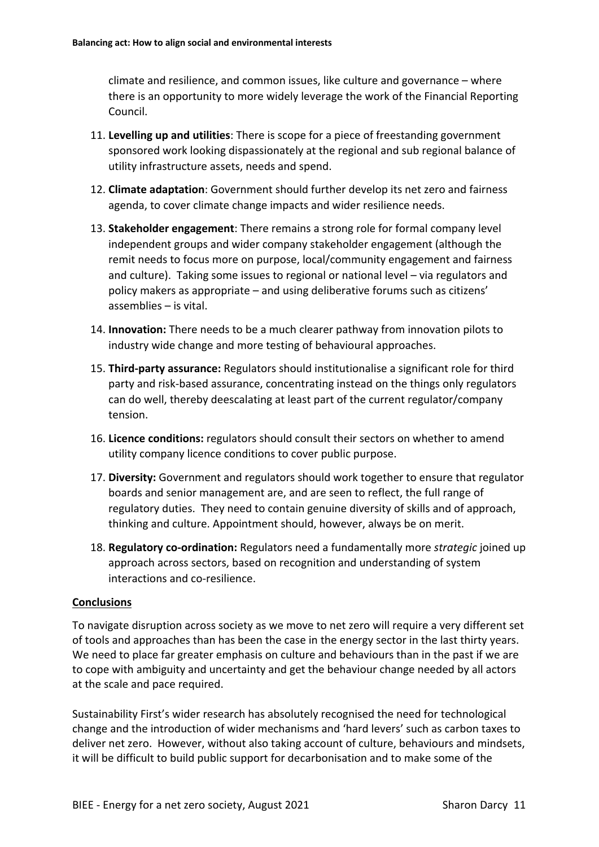climate and resilience, and common issues, like culture and governance – where there is an opportunity to more widely leverage the work of the Financial Reporting Council.

- 11. **Levelling up and utilities**: There is scope for a piece of freestanding government sponsored work looking dispassionately at the regional and sub regional balance of utility infrastructure assets, needs and spend.
- 12. **Climate adaptation**: Government should further develop its net zero and fairness agenda, to cover climate change impacts and wider resilience needs.
- 13. **Stakeholder engagement**: There remains a strong role for formal company level independent groups and wider company stakeholder engagement (although the remit needs to focus more on purpose, local/community engagement and fairness and culture). Taking some issues to regional or national level – via regulators and policy makers as appropriate – and using deliberative forums such as citizens' assemblies – is vital.
- 14. **Innovation:** There needs to be a much clearer pathway from innovation pilots to industry wide change and more testing of behavioural approaches.
- 15. **Third-party assurance:** Regulators should institutionalise a significant role for third party and risk-based assurance, concentrating instead on the things only regulators can do well, thereby deescalating at least part of the current regulator/company tension.
- 16. **Licence conditions:** regulators should consult their sectors on whether to amend utility company licence conditions to cover public purpose.
- 17. **Diversity:** Government and regulators should work together to ensure that regulator boards and senior management are, and are seen to reflect, the full range of regulatory duties. They need to contain genuine diversity of skills and of approach, thinking and culture. Appointment should, however, always be on merit.
- 18. **Regulatory co-ordination:** Regulators need a fundamentally more *strategic* joined up approach across sectors, based on recognition and understanding of system interactions and co-resilience.

#### **Conclusions**

To navigate disruption across society as we move to net zero will require a very different set of tools and approaches than has been the case in the energy sector in the last thirty years. We need to place far greater emphasis on culture and behaviours than in the past if we are to cope with ambiguity and uncertainty and get the behaviour change needed by all actors at the scale and pace required.

Sustainability First's wider research has absolutely recognised the need for technological change and the introduction of wider mechanisms and 'hard levers' such as carbon taxes to deliver net zero. However, without also taking account of culture, behaviours and mindsets, it will be difficult to build public support for decarbonisation and to make some of the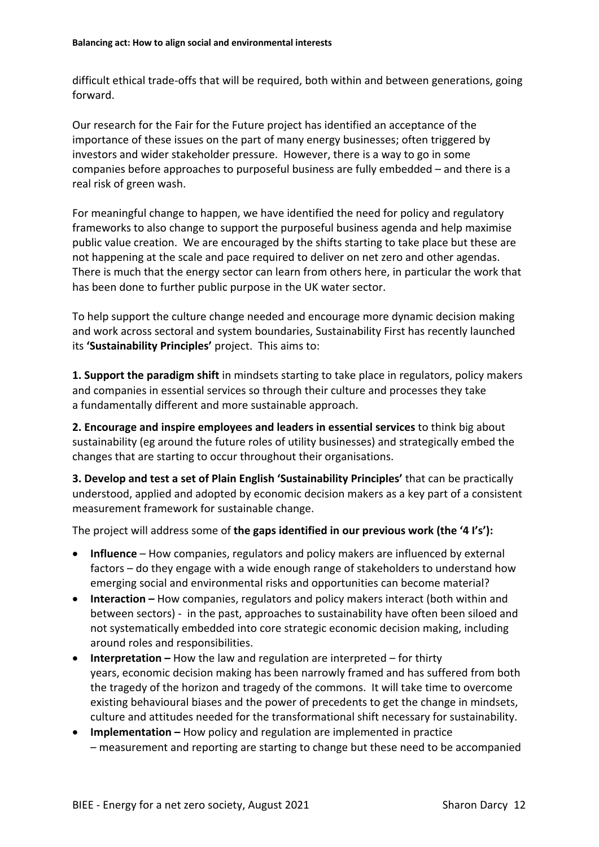difficult ethical trade-offs that will be required, both within and between generations, going forward.

Our research for the Fair for the Future project has identified an acceptance of the importance of these issues on the part of many energy businesses; often triggered by investors and wider stakeholder pressure. However, there is a way to go in some companies before approaches to purposeful business are fully embedded – and there is a real risk of green wash.

For meaningful change to happen, we have identified the need for policy and regulatory frameworks to also change to support the purposeful business agenda and help maximise public value creation. We are encouraged by the shifts starting to take place but these are not happening at the scale and pace required to deliver on net zero and other agendas. There is much that the energy sector can learn from others here, in particular the work that has been done to further public purpose in the UK water sector.

To help support the culture change needed and encourage more dynamic decision making and work across sectoral and system boundaries, Sustainability First has recently launched its **'Sustainability Principles'** project. This aims to:

**1. Support the paradigm shift** in mindsets starting to take place in regulators, policy makers and companies in essential services so through their culture and processes they take a fundamentally different and more sustainable approach.

**2. Encourage and inspire employees and leaders in essential services** to think big about sustainability (eg around the future roles of utility businesses) and strategically embed the changes that are starting to occur throughout their organisations.

**3. Develop and test a set of Plain English 'Sustainability Principles'** that can be practically understood, applied and adopted by economic decision makers as a key part of a consistent measurement framework for sustainable change.

The project will address some of **the gaps identified in our previous work (the '4 I's'):**

- **Influence** How companies, regulators and policy makers are influenced by external factors – do they engage with a wide enough range of stakeholders to understand how emerging social and environmental risks and opportunities can become material?
- **Interaction –** How companies, regulators and policy makers interact (both within and between sectors) - in the past, approaches to sustainability have often been siloed and not systematically embedded into core strategic economic decision making, including around roles and responsibilities.
- **Interpretation –** How the law and regulation are interpreted for thirty years, economic decision making has been narrowly framed and has suffered from both the tragedy of the horizon and tragedy of the commons. It will take time to overcome existing behavioural biases and the power of precedents to get the change in mindsets, culture and attitudes needed for the transformational shift necessary for sustainability.
- **Implementation –** How policy and regulation are implemented in practice – measurement and reporting are starting to change but these need to be accompanied